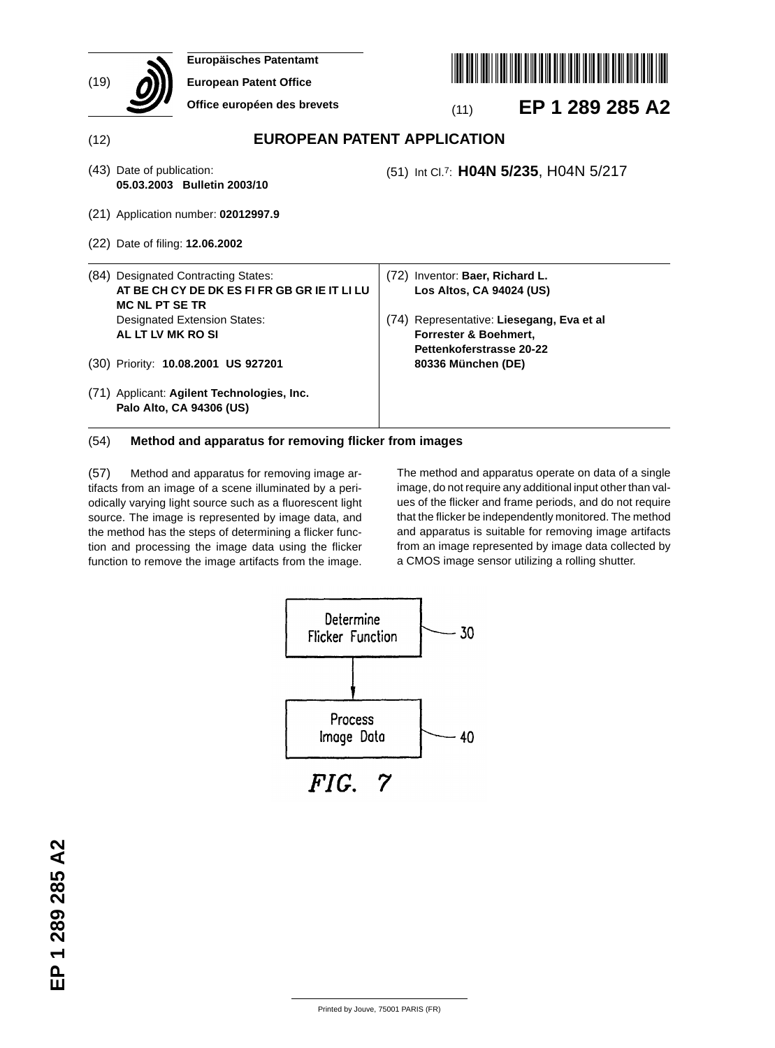|      | <b>Europäisches Patentamt</b>                                          |                                              |  |  |  |
|------|------------------------------------------------------------------------|----------------------------------------------|--|--|--|
| (19) | <b>European Patent Office</b>                                          |                                              |  |  |  |
|      | Office européen des brevets                                            | EP 1 289 285 A2<br>(11)                      |  |  |  |
| (12) |                                                                        | <b>EUROPEAN PATENT APPLICATION</b>           |  |  |  |
|      | (43) Date of publication:<br>05.03.2003 Bulletin 2003/10               | (51) Int Cl.7: H04N 5/235, H04N 5/217        |  |  |  |
|      | (21) Application number: 02012997.9                                    |                                              |  |  |  |
|      | (22) Date of filing: <b>12.06.2002</b>                                 |                                              |  |  |  |
|      | (84) Designated Contracting States:                                    | (72) Inventor: Baer, Richard L.              |  |  |  |
|      | AT BE CH CY DE DK ES FI FR GB GR IE IT LI LU<br><b>MC NL PT SE TR</b>  | Los Altos, CA 94024 (US)                     |  |  |  |
|      | <b>Designated Extension States:</b>                                    | Representative: Liesegang, Eva et al<br>(74) |  |  |  |
|      | AL LT LV MK RO SI                                                      | Forrester & Boehmert,                        |  |  |  |
|      |                                                                        | Pettenkoferstrasse 20-22                     |  |  |  |
|      | (30) Priority: 10.08.2001 US 927201                                    | 80336 München (DE)                           |  |  |  |
|      | (71) Applicant: Agilent Technologies, Inc.<br>Palo Alto, CA 94306 (US) |                                              |  |  |  |

## (54) **Method and apparatus for removing flicker from images**

(57) Method and apparatus for removing image artifacts from an image of a scene illuminated by a periodically varying light source such as a fluorescent light source. The image is represented by image data, and the method has the steps of determining a flicker function and processing the image data using the flicker function to remove the image artifacts from the image.

The method and apparatus operate on data of a single image, do not require any additional input other than values of the flicker and frame periods, and do not require that the flicker be independently monitored. The method and apparatus is suitable for removing image artifacts from an image represented by image data collected by a CMOS image sensor utilizing a rolling shutter.



 $FIG. 7$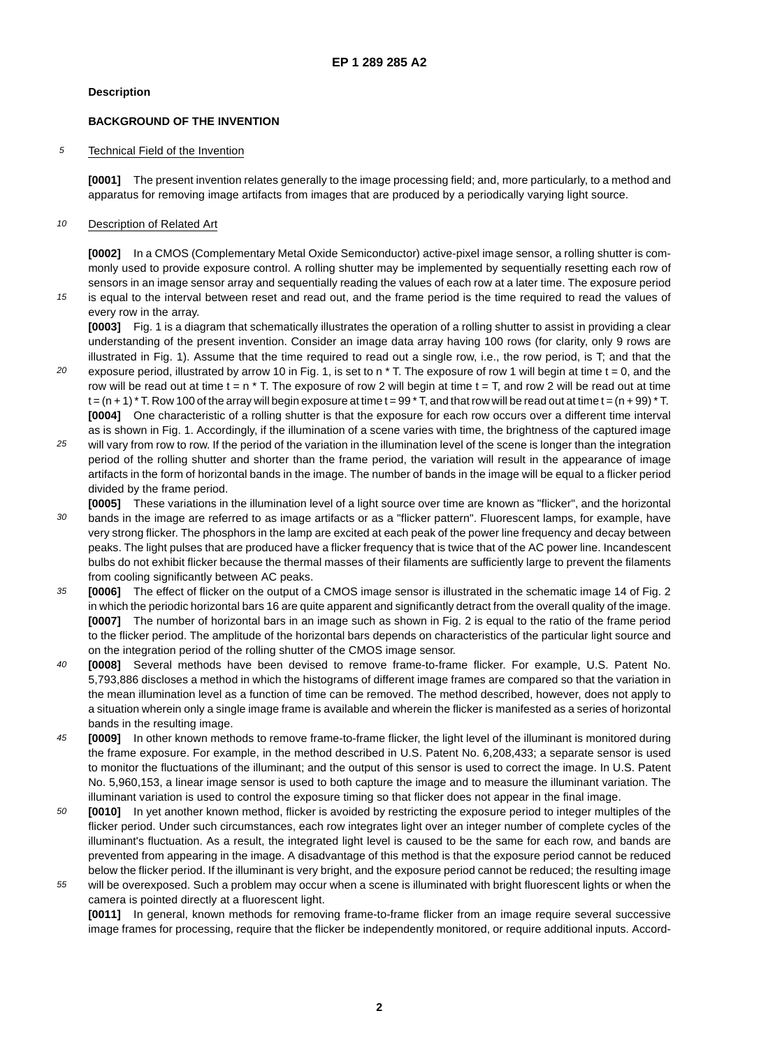#### **Description**

#### **BACKGROUND OF THE INVENTION**

5 Technical Field of the Invention

> **[0001]** The present invention relates generally to the image processing field; and, more particularly, to a method and apparatus for removing image artifacts from images that are produced by a periodically varying light source.

#### 10 Description of Related Art

**[0002]** In a CMOS (Complementary Metal Oxide Semiconductor) active-pixel image sensor, a rolling shutter is commonly used to provide exposure control. A rolling shutter may be implemented by sequentially resetting each row of sensors in an image sensor array and sequentially reading the values of each row at a later time. The exposure period

15 is equal to the interval between reset and read out, and the frame period is the time required to read the values of every row in the array.

**[0003]** Fig. 1 is a diagram that schematically illustrates the operation of a rolling shutter to assist in providing a clear understanding of the present invention. Consider an image data array having 100 rows (for clarity, only 9 rows are illustrated in Fig. 1). Assume that the time required to read out a single row, i.e., the row period, is T; and that the

- 20 exposure period, illustrated by arrow 10 in Fig. 1, is set to n  $*$  T. The exposure of row 1 will begin at time  $t = 0$ , and the row will be read out at time  $t = n * T$ . The exposure of row 2 will begin at time  $t = T$ , and row 2 will be read out at time  $t = (n + 1) * T$ . Row 100 of the array will begin exposure at time  $t = 99 * T$ , and that row will be read out at time  $t = (n + 99) * T$ . **[0004]** One characteristic of a rolling shutter is that the exposure for each row occurs over a different time interval as is shown in Fig. 1. Accordingly, if the illumination of a scene varies with time, the brightness of the captured image
- 25 will vary from row to row. If the period of the variation in the illumination level of the scene is longer than the integration period of the rolling shutter and shorter than the frame period, the variation will result in the appearance of image artifacts in the form of horizontal bands in the image. The number of bands in the image will be equal to a flicker period divided by the frame period.
- 30 **[0005]** These variations in the illumination level of a light source over time are known as "flicker", and the horizontal bands in the image are referred to as image artifacts or as a "flicker pattern". Fluorescent lamps, for example, have very strong flicker. The phosphors in the lamp are excited at each peak of the power line frequency and decay between peaks. The light pulses that are produced have a flicker frequency that is twice that of the AC power line. Incandescent bulbs do not exhibit flicker because the thermal masses of their filaments are sufficiently large to prevent the filaments from cooling significantly between AC peaks.
- 35 **[0006]** The effect of flicker on the output of a CMOS image sensor is illustrated in the schematic image 14 of Fig. 2 in which the periodic horizontal bars 16 are quite apparent and significantly detract from the overall quality of the image. **[0007]** The number of horizontal bars in an image such as shown in Fig. 2 is equal to the ratio of the frame period to the flicker period. The amplitude of the horizontal bars depends on characteristics of the particular light source and on the integration period of the rolling shutter of the CMOS image sensor.
- $40$ **[0008]** Several methods have been devised to remove frame-to-frame flicker. For example, U.S. Patent No. 5,793,886 discloses a method in which the histograms of different image frames are compared so that the variation in the mean illumination level as a function of time can be removed. The method described, however, does not apply to a situation wherein only a single image frame is available and wherein the flicker is manifested as a series of horizontal bands in the resulting image.
- 45 **[0009]** In other known methods to remove frame-to-frame flicker, the light level of the illuminant is monitored during the frame exposure. For example, in the method described in U.S. Patent No. 6,208,433; a separate sensor is used to monitor the fluctuations of the illuminant; and the output of this sensor is used to correct the image. In U.S. Patent No. 5,960,153, a linear image sensor is used to both capture the image and to measure the illuminant variation. The illuminant variation is used to control the exposure timing so that flicker does not appear in the final image.
- 50 **[0010]** In yet another known method, flicker is avoided by restricting the exposure period to integer multiples of the flicker period. Under such circumstances, each row integrates light over an integer number of complete cycles of the illuminant's fluctuation. As a result, the integrated light level is caused to be the same for each row, and bands are prevented from appearing in the image. A disadvantage of this method is that the exposure period cannot be reduced below the flicker period. If the illuminant is very bright, and the exposure period cannot be reduced; the resulting image
- 55 will be overexposed. Such a problem may occur when a scene is illuminated with bright fluorescent lights or when the camera is pointed directly at a fluorescent light.

**[0011]** In general, known methods for removing frame-to-frame flicker from an image require several successive image frames for processing, require that the flicker be independently monitored, or require additional inputs. Accord-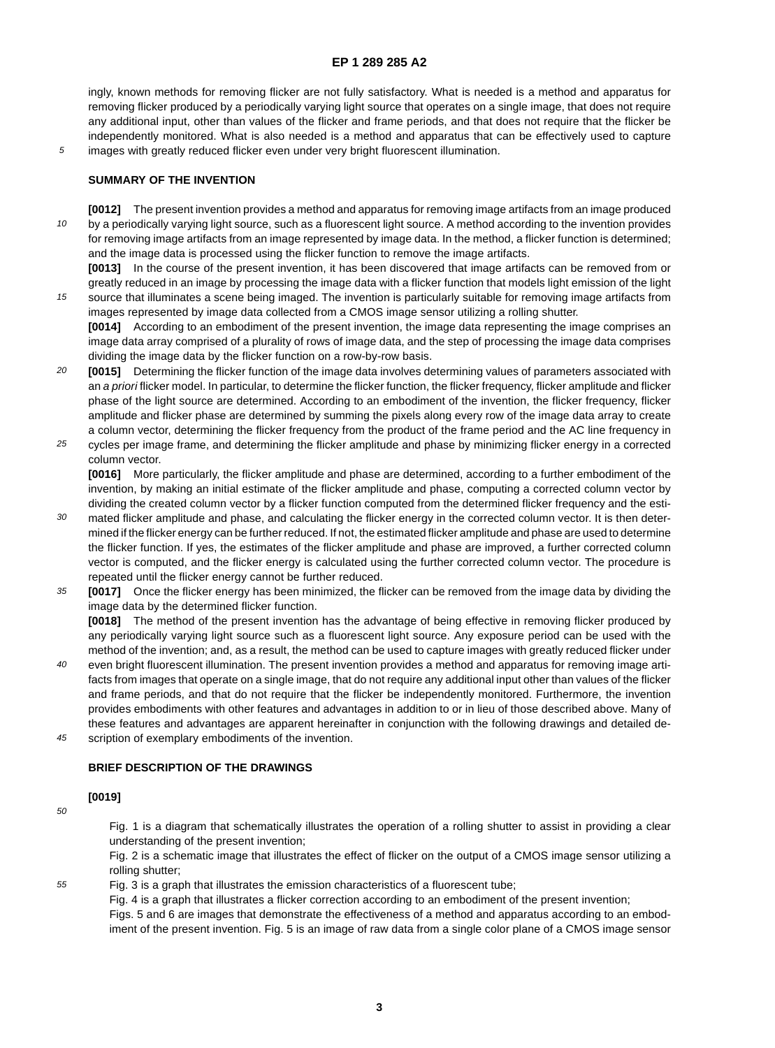#### **EP 1 289 285 A2**

ingly, known methods for removing flicker are not fully satisfactory. What is needed is a method and apparatus for removing flicker produced by a periodically varying light source that operates on a single image, that does not require any additional input, other than values of the flicker and frame periods, and that does not require that the flicker be independently monitored. What is also needed is a method and apparatus that can be effectively used to capture images with greatly reduced flicker even under very bright fluorescent illumination.

5

15

#### **SUMMARY OF THE INVENTION**

10 **[0012]** The present invention provides a method and apparatus for removing image artifacts from an image produced by a periodically varying light source, such as a fluorescent light source. A method according to the invention provides for removing image artifacts from an image represented by image data. In the method, a flicker function is determined; and the image data is processed using the flicker function to remove the image artifacts.

**[0013]** In the course of the present invention, it has been discovered that image artifacts can be removed from or greatly reduced in an image by processing the image data with a flicker function that models light emission of the light source that illuminates a scene being imaged. The invention is particularly suitable for removing image artifacts from images represented by image data collected from a CMOS image sensor utilizing a rolling shutter.

**[0014]** According to an embodiment of the present invention, the image data representing the image comprises an image data array comprised of a plurality of rows of image data, and the step of processing the image data comprises dividing the image data by the flicker function on a row-by-row basis.

- 20 **[0015]** Determining the flicker function of the image data involves determining values of parameters associated with an a priori flicker model. In particular, to determine the flicker function, the flicker frequency, flicker amplitude and flicker phase of the light source are determined. According to an embodiment of the invention, the flicker frequency, flicker amplitude and flicker phase are determined by summing the pixels along every row of the image data array to create a column vector, determining the flicker frequency from the product of the frame period and the AC line frequency in
- 25 cycles per image frame, and determining the flicker amplitude and phase by minimizing flicker energy in a corrected column vector.

**[0016]** More particularly, the flicker amplitude and phase are determined, according to a further embodiment of the invention, by making an initial estimate of the flicker amplitude and phase, computing a corrected column vector by dividing the created column vector by a flicker function computed from the determined flicker frequency and the esti-

- 30 mated flicker amplitude and phase, and calculating the flicker energy in the corrected column vector. It is then determined if the flicker energy can be further reduced. If not, the estimated flicker amplitude and phase are used to determine the flicker function. If yes, the estimates of the flicker amplitude and phase are improved, a further corrected column vector is computed, and the flicker energy is calculated using the further corrected column vector. The procedure is repeated until the flicker energy cannot be further reduced.
- 35 **[0017]** Once the flicker energy has been minimized, the flicker can be removed from the image data by dividing the image data by the determined flicker function.

**[0018]** The method of the present invention has the advantage of being effective in removing flicker produced by any periodically varying light source such as a fluorescent light source. Any exposure period can be used with the method of the invention; and, as a result, the method can be used to capture images with greatly reduced flicker under

- $40$ even bright fluorescent illumination. The present invention provides a method and apparatus for removing image artifacts from images that operate on a single image, that do not require any additional input other than values of the flicker and frame periods, and that do not require that the flicker be independently monitored. Furthermore, the invention provides embodiments with other features and advantages in addition to or in lieu of those described above. Many of these features and advantages are apparent hereinafter in conjunction with the following drawings and detailed de-
- 45 scription of exemplary embodiments of the invention.

#### **BRIEF DESCRIPTION OF THE DRAWINGS**

### **[0019]**

50

55

Fig. 1 is a diagram that schematically illustrates the operation of a rolling shutter to assist in providing a clear understanding of the present invention;

Fig. 2 is a schematic image that illustrates the effect of flicker on the output of a CMOS image sensor utilizing a rolling shutter;

Fig. 3 is a graph that illustrates the emission characteristics of a fluorescent tube;

Fig. 4 is a graph that illustrates a flicker correction according to an embodiment of the present invention;

Figs. 5 and 6 are images that demonstrate the effectiveness of a method and apparatus according to an embodiment of the present invention. Fig. 5 is an image of raw data from a single color plane of a CMOS image sensor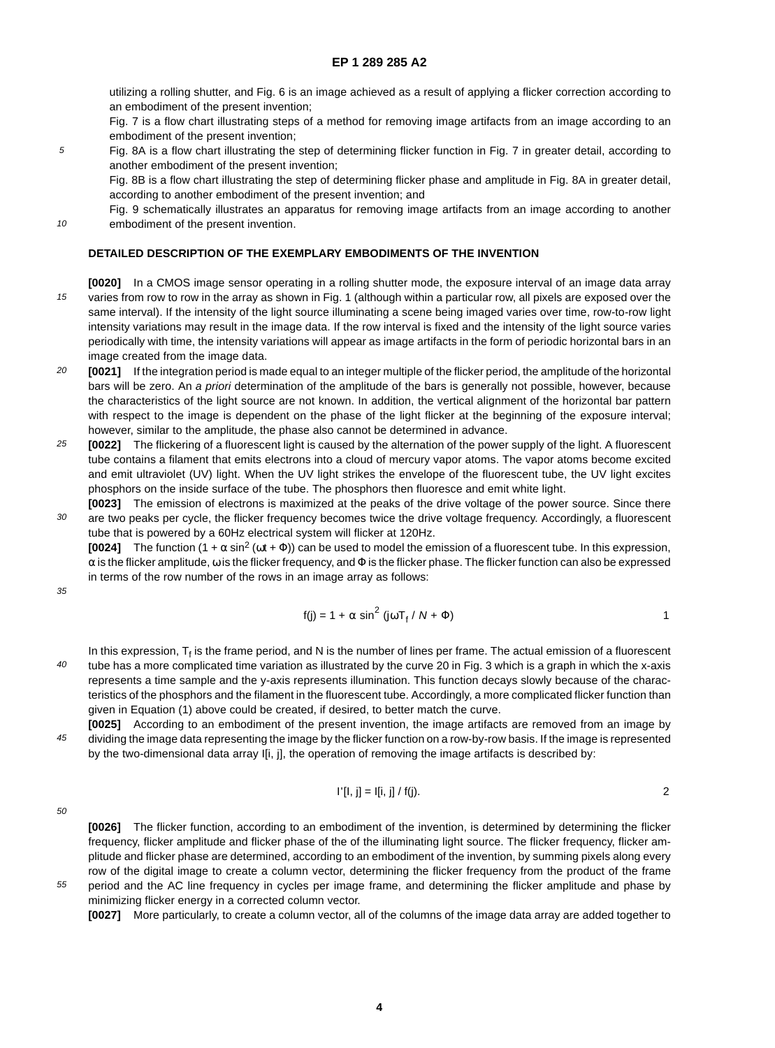utilizing a rolling shutter, and Fig. 6 is an image achieved as a result of applying a flicker correction according to an embodiment of the present invention;

Fig. 7 is a flow chart illustrating steps of a method for removing image artifacts from an image according to an embodiment of the present invention;

5 Fig. 8A is a flow chart illustrating the step of determining flicker function in Fig. 7 in greater detail, according to another embodiment of the present invention;

Fig. 8B is a flow chart illustrating the step of determining flicker phase and amplitude in Fig. 8A in greater detail, according to another embodiment of the present invention; and

Fig. 9 schematically illustrates an apparatus for removing image artifacts from an image according to another embodiment of the present invention.

#### **DETAILED DESCRIPTION OF THE EXEMPLARY EMBODIMENTS OF THE INVENTION**

- 15 **[0020]** In a CMOS image sensor operating in a rolling shutter mode, the exposure interval of an image data array varies from row to row in the array as shown in Fig. 1 (although within a particular row, all pixels are exposed over the same interval). If the intensity of the light source illuminating a scene being imaged varies over time, row-to-row light intensity variations may result in the image data. If the row interval is fixed and the intensity of the light source varies periodically with time, the intensity variations will appear as image artifacts in the form of periodic horizontal bars in an image created from the image data.
- 20 **[0021]** If the integration period is made equal to an integer multiple of the flicker period, the amplitude of the horizontal bars will be zero. An a priori determination of the amplitude of the bars is generally not possible, however, because the characteristics of the light source are not known. In addition, the vertical alignment of the horizontal bar pattern with respect to the image is dependent on the phase of the light flicker at the beginning of the exposure interval; however, similar to the amplitude, the phase also cannot be determined in advance.
- 25 **[0022]** The flickering of a fluorescent light is caused by the alternation of the power supply of the light. A fluorescent tube contains a filament that emits electrons into a cloud of mercury vapor atoms. The vapor atoms become excited and emit ultraviolet (UV) light. When the UV light strikes the envelope of the fluorescent tube, the UV light excites phosphors on the inside surface of the tube. The phosphors then fluoresce and emit white light.
- 30 **[0023]** The emission of electrons is maximized at the peaks of the drive voltage of the power source. Since there are two peaks per cycle, the flicker frequency becomes twice the drive voltage frequency. Accordingly, a fluorescent tube that is powered by a 60Hz electrical system will flicker at 120Hz.

**[0024]** The function  $(1 + \alpha \sin^2(\omega t + \Phi))$  can be used to model the emission of a fluorescent tube. In this expression,  $\alpha$  is the flicker amplitude,  $\omega$  is the flicker frequency, and  $\Phi$  is the flicker phase. The flicker function can also be expressed in terms of the row number of the rows in an image array as follows:

35

10

$$
f(j) = 1 + \alpha \sin^2(j\omega T_f / N + \Phi)
$$

 $40$ In this expression,  $T_f$  is the frame period, and N is the number of lines per frame. The actual emission of a fluorescent tube has a more complicated time variation as illustrated by the curve 20 in Fig. 3 which is a graph in which the x-axis represents a time sample and the y-axis represents illumination. This function decays slowly because of the characteristics of the phosphors and the filament in the fluorescent tube. Accordingly, a more complicated flicker function than given in Equation (1) above could be created, if desired, to better match the curve.

45 **[0025]** According to an embodiment of the present invention, the image artifacts are removed from an image by dividing the image data representing the image by the flicker function on a row-by-row basis. If the image is represented by the two-dimensional data array I[i, j], the operation of removing the image artifacts is described by:

$$
I'[l, j] = I[i, j] / f(j).
$$

50

55

**[0026]** The flicker function, according to an embodiment of the invention, is determined by determining the flicker frequency, flicker amplitude and flicker phase of the of the illuminating light source. The flicker frequency, flicker amplitude and flicker phase are determined, according to an embodiment of the invention, by summing pixels along every row of the digital image to create a column vector, determining the flicker frequency from the product of the frame period and the AC line frequency in cycles per image frame, and determining the flicker amplitude and phase by

minimizing flicker energy in a corrected column vector. **[0027]** More particularly, to create a column vector, all of the columns of the image data array are added together to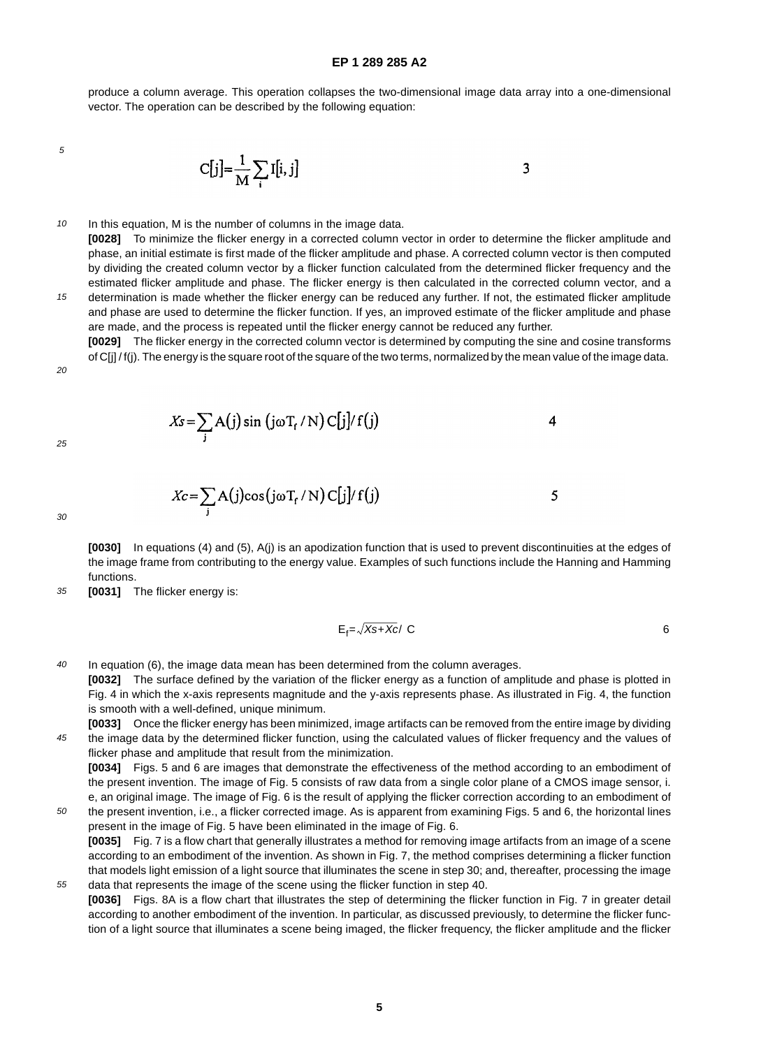produce a column average. This operation collapses the two-dimensional image data array into a one-dimensional vector. The operation can be described by the following equation:

5

$$
C[j] = \frac{1}{M} \sum_{i} I[i, j]
$$

10 In this equation, M is the number of columns in the image data.

**[0028]** To minimize the flicker energy in a corrected column vector in order to determine the flicker amplitude and phase, an initial estimate is first made of the flicker amplitude and phase. A corrected column vector is then computed by dividing the created column vector by a flicker function calculated from the determined flicker frequency and the estimated flicker amplitude and phase. The flicker energy is then calculated in the corrected column vector, and a determination is made whether the flicker energy can be reduced any further. If not, the estimated flicker amplitude and phase are used to determine the flicker function. If yes, an improved estimate of the flicker amplitude and phase are made, and the process is repeated until the flicker energy cannot be reduced any further.

**[0029]** The flicker energy in the corrected column vector is determined by computing the sine and cosine transforms of C[j] / f(j). The energy is the square root of the square of the two terms, normalized by the mean value of the image data.

 $20$ 

15

25

$$
Xc = \sum_{i} A(j) \cos(j\omega T_f / N) C[j]/f(j)
$$
 5

30

50

**[0030]** In equations (4) and (5), A(j) is an apodization function that is used to prevent discontinuities at the edges of the image frame from contributing to the energy value. Examples of such functions include the Hanning and Hamming functions.

35 **[0031]** The flicker energy is:

$$
E_f = \sqrt{Xs + Xc}/\langle C \rangle
$$

 $\boldsymbol{4}$ 

 $40$ In equation (6), the image data mean has been determined from the column averages.

 $X_s = \sum_i A(j) \sin (j\omega T_f/N) C[j]/f(j)$ 

**[0032]** The surface defined by the variation of the flicker energy as a function of amplitude and phase is plotted in Fig. 4 in which the x-axis represents magnitude and the y-axis represents phase. As illustrated in Fig. 4, the function is smooth with a well-defined, unique minimum.

45 **[0033]** Once the flicker energy has been minimized, image artifacts can be removed from the entire image by dividing the image data by the determined flicker function, using the calculated values of flicker frequency and the values of flicker phase and amplitude that result from the minimization. **[0034]** Figs. 5 and 6 are images that demonstrate the effectiveness of the method according to an embodiment of

the present invention. The image of Fig. 5 consists of raw data from a single color plane of a CMOS image sensor, i. e, an original image. The image of Fig. 6 is the result of applying the flicker correction according to an embodiment of the present invention, i.e., a flicker corrected image. As is apparent from examining Figs. 5 and 6, the horizontal lines

55 present in the image of Fig. 5 have been eliminated in the image of Fig. 6. **[0035]** Fig. 7 is a flow chart that generally illustrates a method for removing image artifacts from an image of a scene according to an embodiment of the invention. As shown in Fig. 7, the method comprises determining a flicker function that models light emission of a light source that illuminates the scene in step 30; and, thereafter, processing the image data that represents the image of the scene using the flicker function in step 40.

**[0036]** Figs. 8A is a flow chart that illustrates the step of determining the flicker function in Fig. 7 in greater detail according to another embodiment of the invention. In particular, as discussed previously, to determine the flicker function of a light source that illuminates a scene being imaged, the flicker frequency, the flicker amplitude and the flicker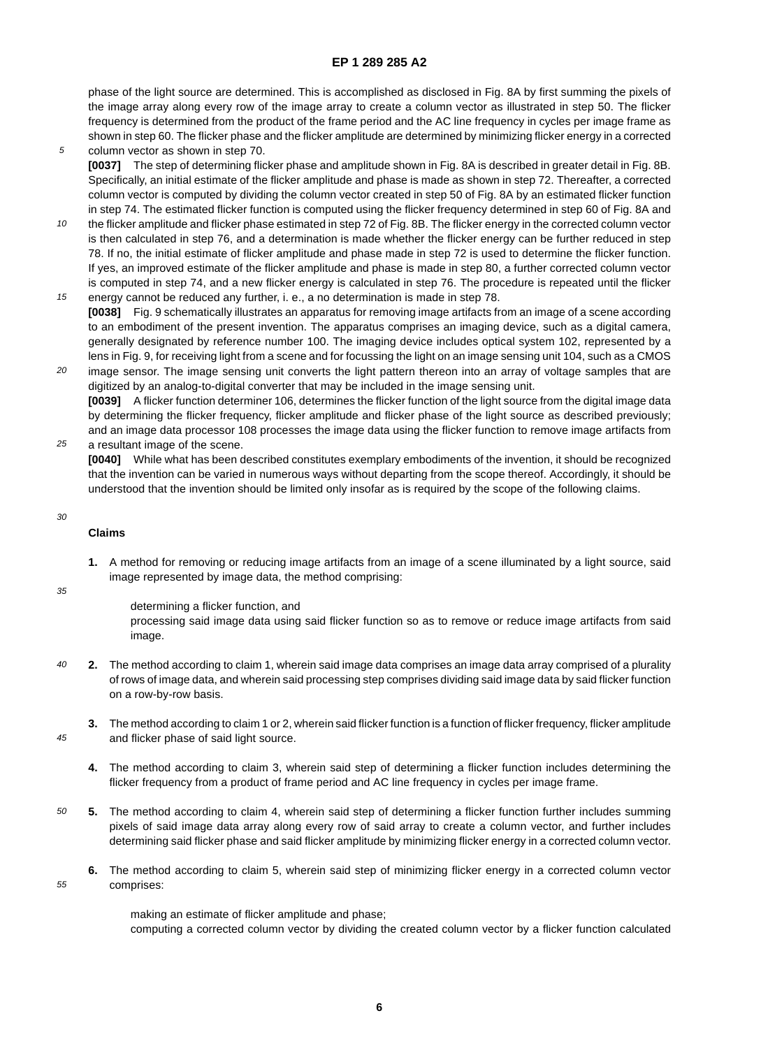#### **EP 1 289 285 A2**

phase of the light source are determined. This is accomplished as disclosed in Fig. 8A by first summing the pixels of the image array along every row of the image array to create a column vector as illustrated in step 50. The flicker frequency is determined from the product of the frame period and the AC line frequency in cycles per image frame as shown in step 60. The flicker phase and the flicker amplitude are determined by minimizing flicker energy in a corrected

- 5 column vector as shown in step 70. **[0037]** The step of determining flicker phase and amplitude shown in Fig. 8A is described in greater detail in Fig. 8B. Specifically, an initial estimate of the flicker amplitude and phase is made as shown in step 72. Thereafter, a corrected column vector is computed by dividing the column vector created in step 50 of Fig. 8A by an estimated flicker function in step 74. The estimated flicker function is computed using the flicker frequency determined in step 60 of Fig. 8A and
- 10 the flicker amplitude and flicker phase estimated in step 72 of Fig. 8B. The flicker energy in the corrected column vector is then calculated in step 76, and a determination is made whether the flicker energy can be further reduced in step 78. If no, the initial estimate of flicker amplitude and phase made in step 72 is used to determine the flicker function. If yes, an improved estimate of the flicker amplitude and phase is made in step 80, a further corrected column vector is computed in step 74, and a new flicker energy is calculated in step 76. The procedure is repeated until the flicker
- 15 energy cannot be reduced any further, i. e., a no determination is made in step 78. **[0038]** Fig. 9 schematically illustrates an apparatus for removing image artifacts from an image of a scene according to an embodiment of the present invention. The apparatus comprises an imaging device, such as a digital camera, generally designated by reference number 100. The imaging device includes optical system 102, represented by a lens in Fig. 9, for receiving light from a scene and for focussing the light on an image sensing unit 104, such as a CMOS
- $20$ image sensor. The image sensing unit converts the light pattern thereon into an array of voltage samples that are digitized by an analog-to-digital converter that may be included in the image sensing unit. **[0039]** A flicker function determiner 106, determines the flicker function of the light source from the digital image data by determining the flicker frequency, flicker amplitude and flicker phase of the light source as described previously; and an image data processor 108 processes the image data using the flicker function to remove image artifacts from
- 25 a resultant image of the scene.

**[0040]** While what has been described constitutes exemplary embodiments of the invention, it should be recognized that the invention can be varied in numerous ways without departing from the scope thereof. Accordingly, it should be understood that the invention should be limited only insofar as is required by the scope of the following claims.

#### 30

#### **Claims**

**1.** A method for removing or reducing image artifacts from an image of a scene illuminated by a light source, said image represented by image data, the method comprising:

35

determining a flicker function, and

processing said image data using said flicker function so as to remove or reduce image artifacts from said image.

- 40 **2.** The method according to claim 1, wherein said image data comprises an image data array comprised of a plurality of rows of image data, and wherein said processing step comprises dividing said image data by said flicker function on a row-by-row basis.
- 45 **3.** The method according to claim 1 or 2, wherein said flicker function is a function of flicker frequency, flicker amplitude and flicker phase of said light source.
	- **4.** The method according to claim 3, wherein said step of determining a flicker function includes determining the flicker frequency from a product of frame period and AC line frequency in cycles per image frame.
- 50 **5.** The method according to claim 4, wherein said step of determining a flicker function further includes summing pixels of said image data array along every row of said array to create a column vector, and further includes determining said flicker phase and said flicker amplitude by minimizing flicker energy in a corrected column vector.
- 55 **6.** The method according to claim 5, wherein said step of minimizing flicker energy in a corrected column vector comprises:

making an estimate of flicker amplitude and phase; computing a corrected column vector by dividing the created column vector by a flicker function calculated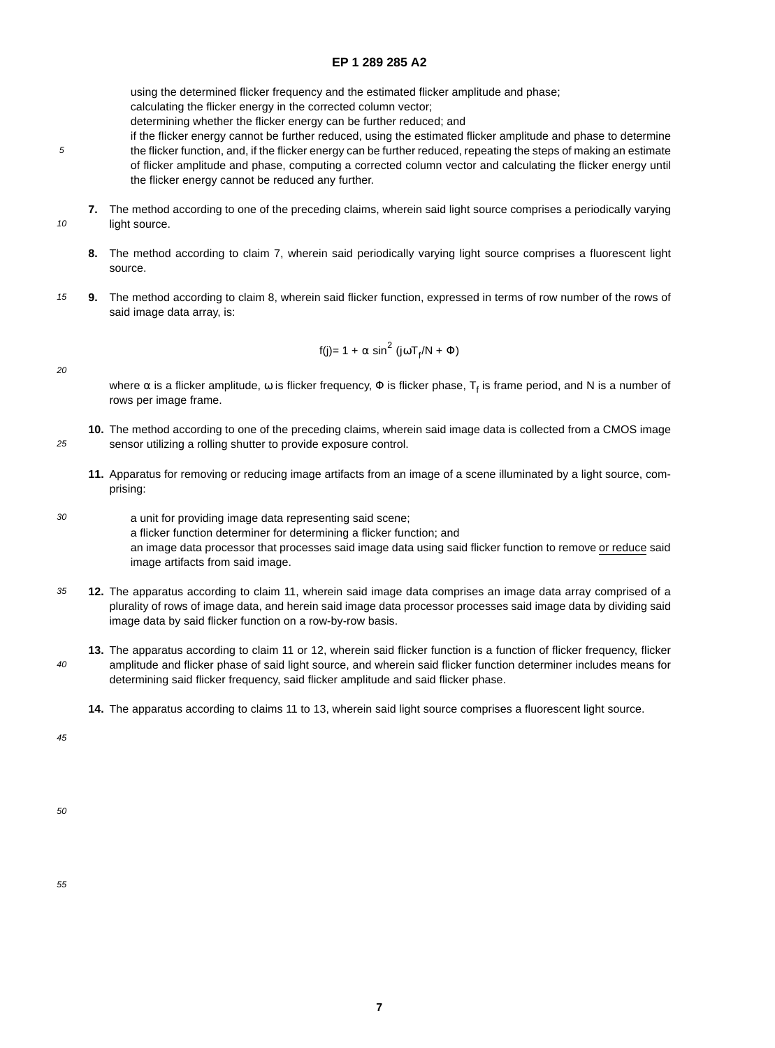## **EP 1 289 285 A2**

using the determined flicker frequency and the estimated flicker amplitude and phase;

calculating the flicker energy in the corrected column vector;

determining whether the flicker energy can be further reduced; and

- if the flicker energy cannot be further reduced, using the estimated flicker amplitude and phase to determine the flicker function, and, if the flicker energy can be further reduced, repeating the steps of making an estimate of flicker amplitude and phase, computing a corrected column vector and calculating the flicker energy until the flicker energy cannot be reduced any further.
- **7.** The method according to one of the preceding claims, wherein said light source comprises a periodically varying light source.
- **8.** The method according to claim 7, wherein said periodically varying light source comprises a fluorescent light source.
- 15 **9.** The method according to claim 8, wherein said flicker function, expressed in terms of row number of the rows of said image data array, is:

$$
f(j)=1+\alpha\,\sin^2\,(j\omega T_f/N+\Phi)
$$

 $20$ 

25

5

10

where  $\alpha$  is a flicker amplitude,  $\omega$  is flicker frequency,  $\Phi$  is flicker phase,  $T_f$  is frame period, and N is a number of rows per image frame.

- **10.** The method according to one of the preceding claims, wherein said image data is collected from a CMOS image sensor utilizing a rolling shutter to provide exposure control.
	- **11.** Apparatus for removing or reducing image artifacts from an image of a scene illuminated by a light source, comprising:
- 30 a unit for providing image data representing said scene; a flicker function determiner for determining a flicker function; and an image data processor that processes said image data using said flicker function to remove or reduce said image artifacts from said image.
- 35 **12.** The apparatus according to claim 11, wherein said image data comprises an image data array comprised of a plurality of rows of image data, and herein said image data processor processes said image data by dividing said image data by said flicker function on a row-by-row basis.
- $40$ **13.** The apparatus according to claim 11 or 12, wherein said flicker function is a function of flicker frequency, flicker amplitude and flicker phase of said light source, and wherein said flicker function determiner includes means for determining said flicker frequency, said flicker amplitude and said flicker phase.
	- **14.** The apparatus according to claims 11 to 13, wherein said light source comprises a fluorescent light source.

45

50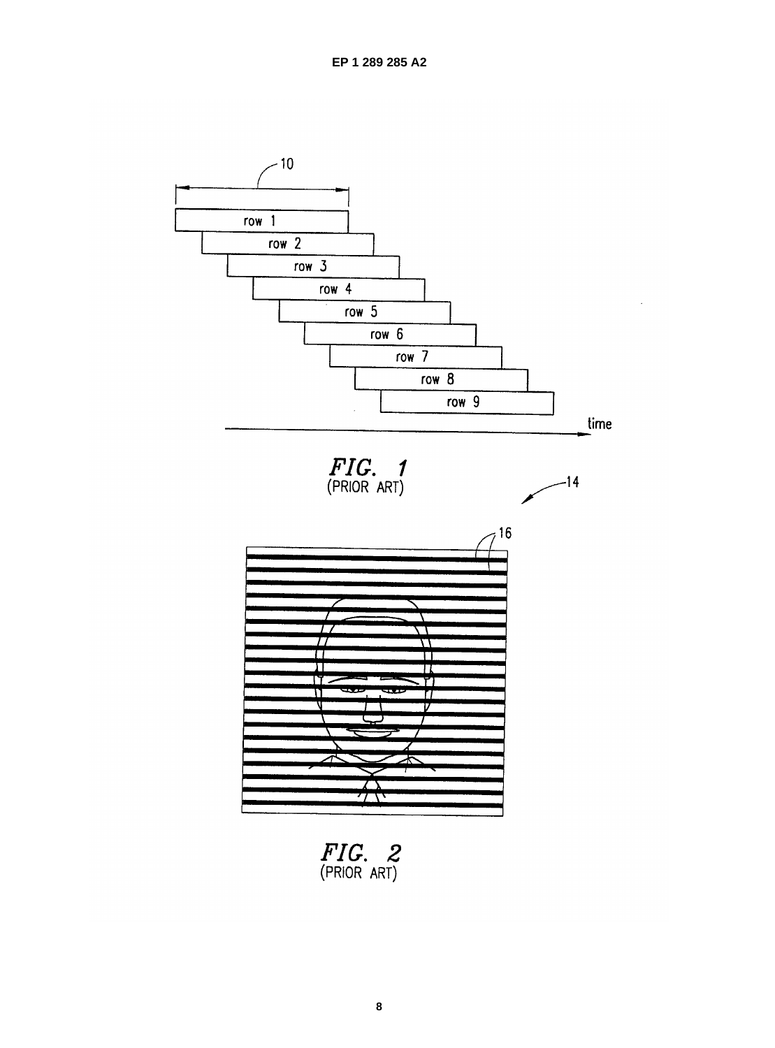

FIG. 2<br>(PRIOR ART)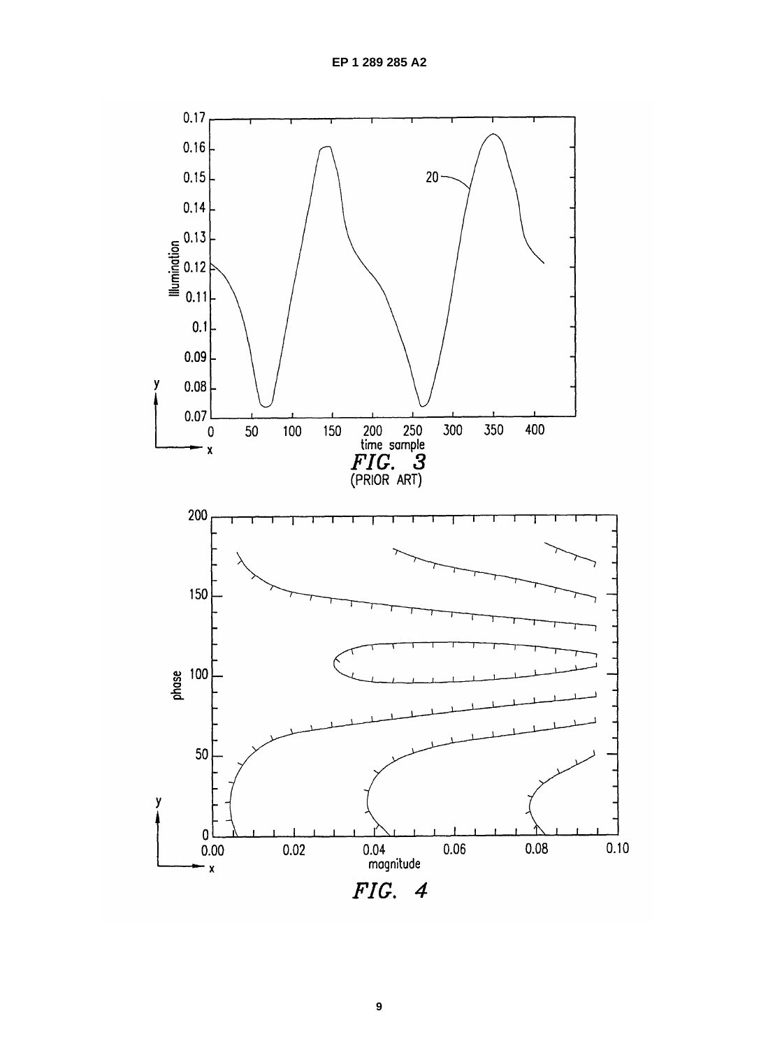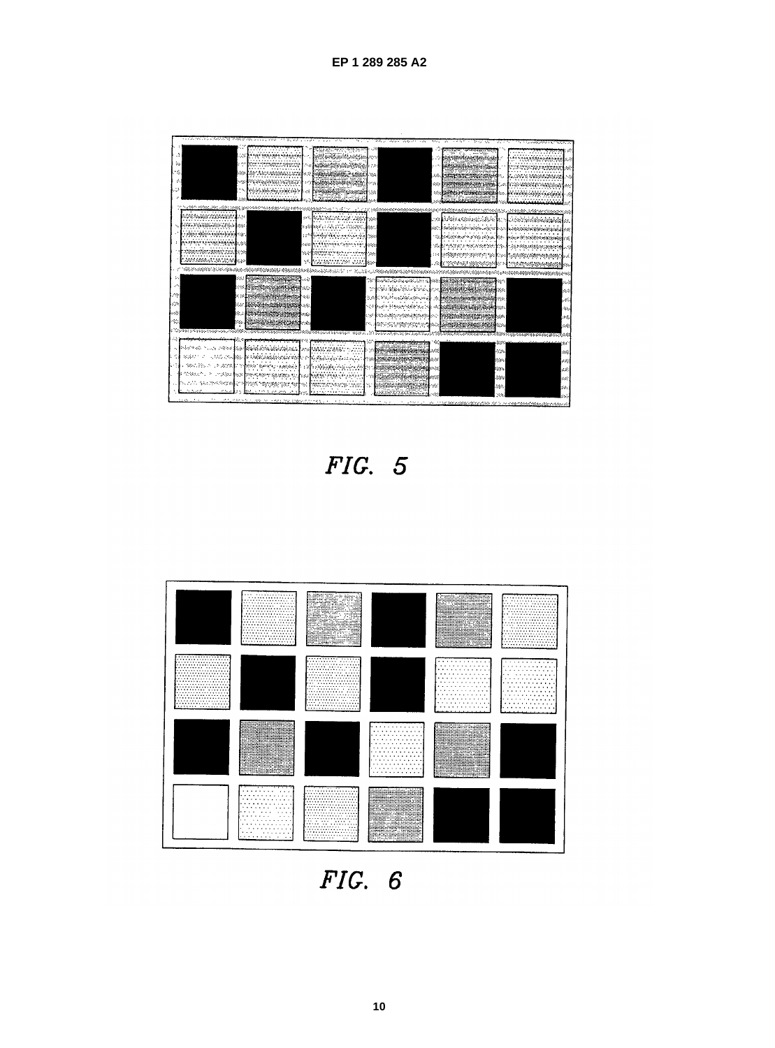|                             | ಸೋಗಿಸಿ ವಿನಿಧಿಸಲಾಗಿ ಕೊಡುತ್ತಾರೆ. ಇದು ಸಂಸ್ಥೆ                     | 75 bij ku<br>.                          |                                                                                                                  |                                   | te sur lista<br>35.                  | <b>The Photographs of A.C.</b>  |
|-----------------------------|---------------------------------------------------------------|-----------------------------------------|------------------------------------------------------------------------------------------------------------------|-----------------------------------|--------------------------------------|---------------------------------|
|                             |                                                               | .                                       |                                                                                                                  |                                   |                                      |                                 |
| A                           |                                                               | <u>t në manda manjëri</u>               |                                                                                                                  |                                   |                                      | delet beteknis                  |
| SS.                         |                                                               | . <b>. .</b> .<br><b>ELITERATIONEST</b> |                                                                                                                  |                                   | angan t<br>ering                     |                                 |
| ś,                          | 1.52                                                          | - Alexander (2002)                      |                                                                                                                  |                                   | Eminentalogo                         |                                 |
| ń.                          |                                                               | .<br>mangang naggot<br>.                | *********                                                                                                        | $\sim$                            |                                      | <b>SERCAT</b>                   |
|                             |                                                               | Michael y ssyns y'r                     | <b>Security</b><br>12.                                                                                           |                                   | SEE DANCE PY CENNICO SECON           |                                 |
|                             |                                                               | coman e                                 |                                                                                                                  |                                   |                                      | l'esteritificationes autoriales |
|                             | in hundri elfab, anturlar teata genveled helessesservice este |                                         | $\mathbf{A}$<br>the comment of constant construction                                                             |                                   | idahhi ketidang digerenta rigerozota |                                 |
|                             | oteannachas anns                                              |                                         | 82   MANAGHAM GEANGE                                                                                             |                                   |                                      | od observations and             |
|                             | . <i>. .</i> .<br><b>manazara</b>                             | AND CO                                  | .                                                                                                                |                                   | on lidningsightin                    |                                 |
|                             | <br><b>BA BASANYAN BAR</b>                                    | R A                                     | <b>DRAMAR</b>                                                                                                    |                                   | salalan nambalan Jagor               | .                               |
|                             |                                                               | .                                       | a tahun séhinggaya salah di kacamatan<br>$\cdots$                                                                |                                   | 机螺旋转曲性 化磷酸铜银酸盐<br>アプランティング エアン       | edural badayendigungi           |
|                             | <b>ANY MY SEESSEE LESS</b>                                    | - 12                                    | <b>Industrial Campbell</b> (1998)                                                                                |                                   | <b>International American</b>        |                                 |
|                             | maceae in.<br>.                                               | e.                                      | an ar thur na pe<br>.                                                                                            |                                   | Apoleony piperty of the 1            |                                 |
|                             | <b>EMANA ATANG M</b>                                          | Y.                                      | MANBANYA YANG SULAN B                                                                                            |                                   |                                      | the street stage                |
|                             |                                                               |                                         |                                                                                                                  |                                   |                                      |                                 |
|                             | 68                                                            | <del>საჯირსაართადდა დ</del> აა          |                                                                                                                  | barat termenti di m               | <b>EXECUTIVE AND RESERVE</b>         | $\mathcal{L}_{\mathcal{A}}$     |
|                             | 69                                                            | ster Hercustown and                     |                                                                                                                  | VI REGIONAL VIVIA                 | an Maria a                           | $\sim$                          |
| Z.                          | A.                                                            | <b>Size Stefan</b><br>$\sim$            |                                                                                                                  | Sun encontractional               |                                      | $\sim$                          |
| gijk.                       | $\sim$ 1                                                      | **************                          | liste in Enterpretaktioner                                                                                       |                                   |                                      | e e c                           |
| $\sim$ $\sim$               | 82                                                            | 2000 BM 201                             | w                                                                                                                | optionsmethod                     |                                      | p.                              |
| - 23                        | $\sim$ $\sim$<br>students and article and Care                | e ste                                   |                                                                                                                  | an ing pagpalan ni                |                                      | لانتشار                         |
|                             | <b>The hot on may couplings, copper</b>                       |                                         | e de la componencia de la componencia de la componencia de la componencia de la componencia de la componencia de |                                   |                                      |                                 |
|                             |                                                               |                                         |                                                                                                                  |                                   |                                      |                                 |
| na dhekara n                | man news participation appropriation                          | 2007 - 200<br>was a control             |                                                                                                                  | 1979                              |                                      | $\sim$                          |
| 総定につい                       | an Suite<br><b>PARTY REPORTS AND ARREST TO THE</b>            |                                         |                                                                                                                  | $-1$                              | -32 %                                | e S                             |
| - 第47.拾出入                   | 240<br><b>Therefore Extendity - stationary</b>                | <b>Replace of the state of</b>          |                                                                                                                  | <u> Manazaraza</u><br><b>1999</b> | <b>Constitution</b>                  | $\alpha$                        |
| <b>CONSUMER</b>             | 计调谐 動战<br>DREAD BEST BEARING TO                               |                                         |                                                                                                                  | <b>MAG</b>                        | <b>Control</b>                       | stati                           |
|                             | SASY-GROSSIE                                                  | a shi ne ne ne<br>$\cdots$              |                                                                                                                  | de alternati<br><b>ALC:</b>       | $-1050$                              | $\sim$                          |
| <b>Beautiful</b><br>ta Nava | <b>STERR</b><br>.                                             | tempen parten                           | والأكلوكة فبالمدف فبالمقال<br>Chat.<br>л.                                                                        | - 11                              | <b>AGE</b>                           | $\sim$ $\epsilon$               |
|                             |                                                               |                                         |                                                                                                                  | And a company of the company      | M.                                   |                                 |
|                             |                                                               |                                         |                                                                                                                  |                                   |                                      |                                 |

FIG. 5



 $FIG. 6$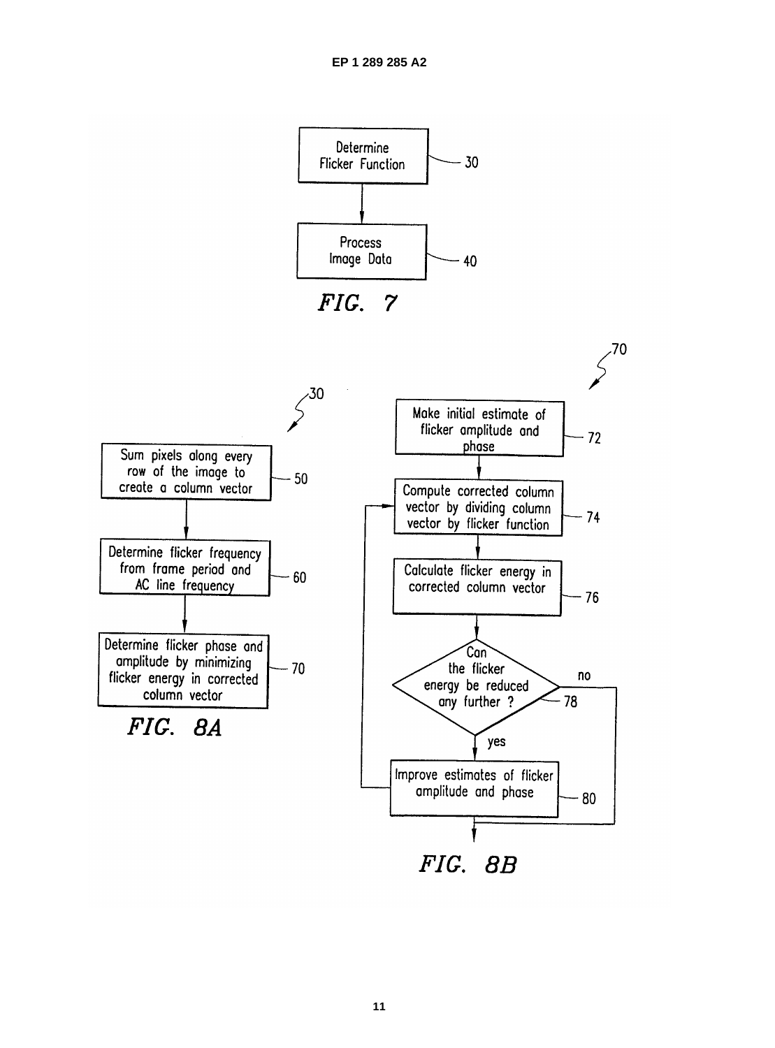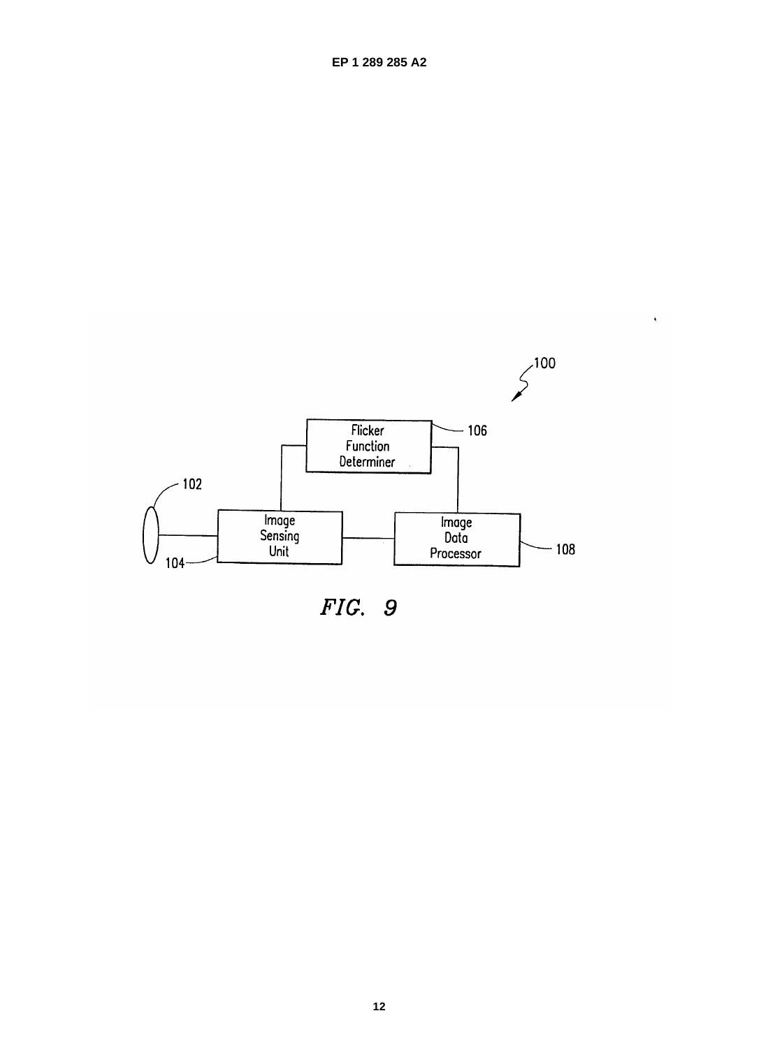

 $\hat{\mathbf{r}}$ 

FIG. 9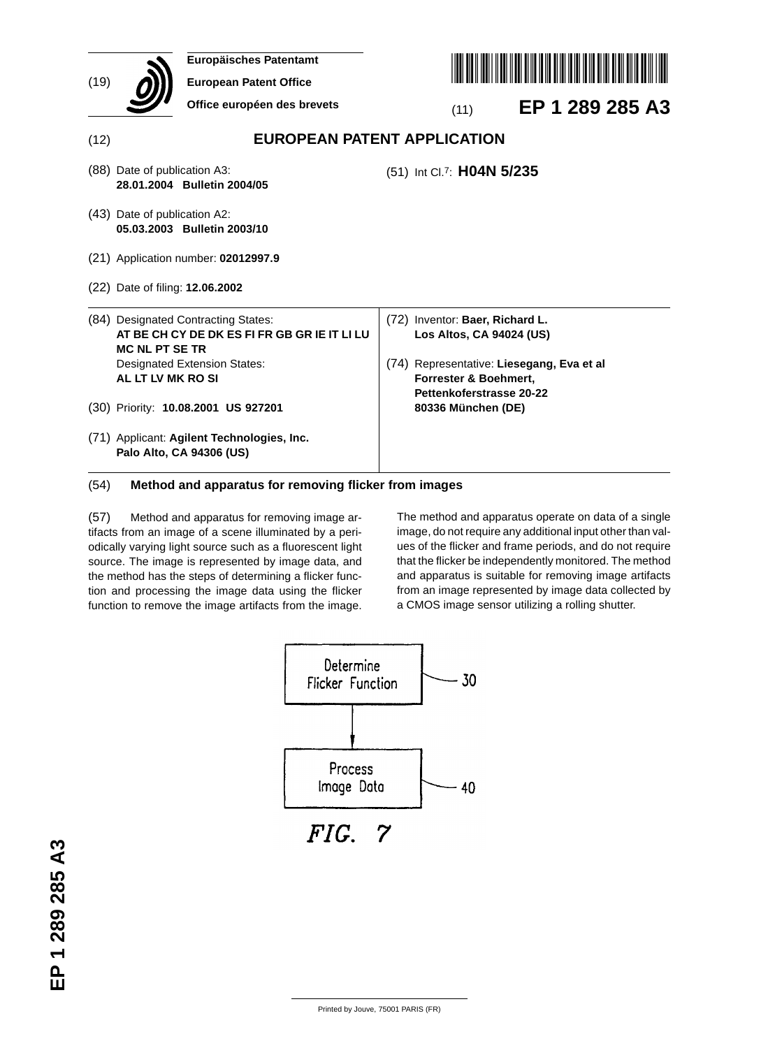| (19) | Europäisches Patentamt<br><b>European Patent Office</b><br>Office européen des brevets                       | EP 1 289 285 A3<br>(11)                                                                        |
|------|--------------------------------------------------------------------------------------------------------------|------------------------------------------------------------------------------------------------|
| (12) |                                                                                                              | <b>EUROPEAN PATENT APPLICATION</b>                                                             |
|      | (88) Date of publication A3:<br>28.01.2004 Bulletin 2004/05                                                  | (51) Int Cl.7: H04N 5/235                                                                      |
|      | (43) Date of publication A2:<br>05.03.2003 Bulletin 2003/10                                                  |                                                                                                |
|      | (21) Application number: 02012997.9                                                                          |                                                                                                |
|      | (22) Date of filing: <b>12.06.2002</b>                                                                       |                                                                                                |
|      | (84) Designated Contracting States:<br>AT BE CH CY DE DK ES FI FR GB GR IE IT LI LU<br><b>MC NL PT SE TR</b> | (72) Inventor: Baer, Richard L.<br>Los Altos, CA 94024 (US)                                    |
|      | <b>Designated Extension States:</b><br>AL LT LV MK RO SI                                                     | (74) Representative: Liesegang, Eva et al<br>Forrester & Boehmert.<br>Pettenkoferstrasse 20-22 |
|      | (30) Priority: 10.08.2001 US 927201                                                                          | 80336 München (DE)                                                                             |
|      | (71) Applicant: Agilent Technologies, Inc.<br>Palo Alto, CA 94306 (US)                                       |                                                                                                |

## (54) **Method and apparatus for removing flicker from images**

(57) Method and apparatus for removing image artifacts from an image of a scene illuminated by a periodically varying light source such as a fluorescent light source. The image is represented by image data, and the method has the steps of determining a flicker function and processing the image data using the flicker function to remove the image artifacts from the image.

The method and apparatus operate on data of a single image, do not require any additional input other than values of the flicker and frame periods, and do not require that the flicker be independently monitored. The method and apparatus is suitable for removing image artifacts from an image represented by image data collected by a CMOS image sensor utilizing a rolling shutter.



EP 1 289 285 A3 **EP 1 289 285 A3**

Printed by Jouve, 75001 PARIS (FR)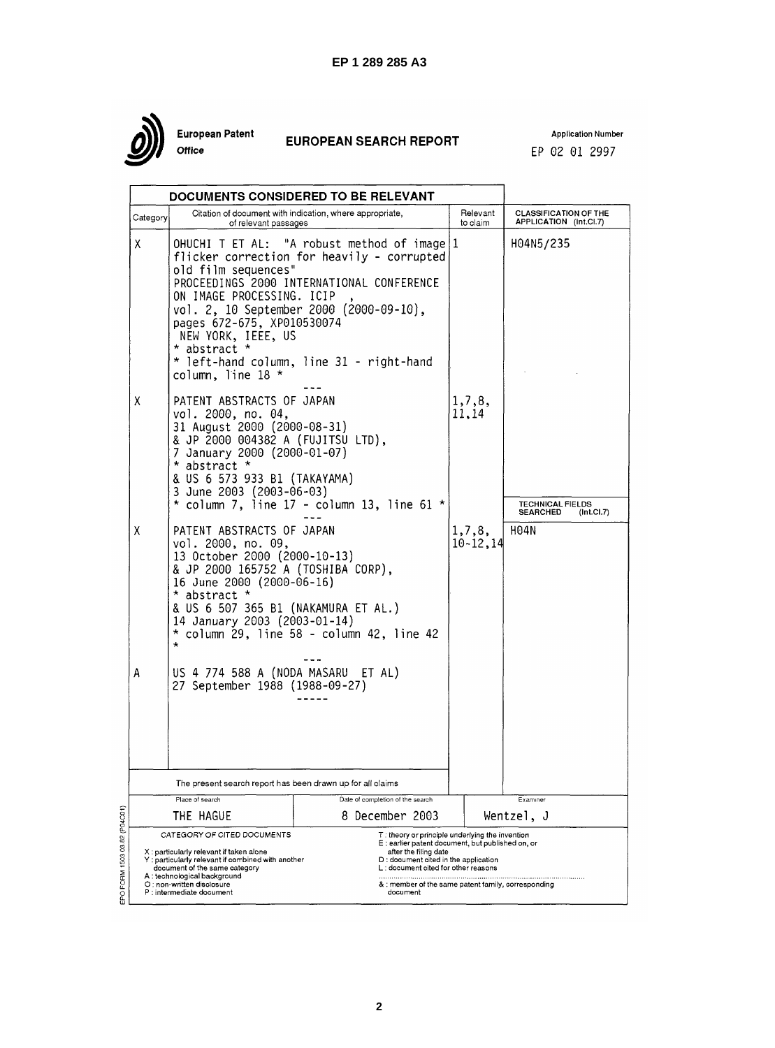

European Patent .<br>Office

# **EUROPEAN SEARCH REPORT**

**Application Number** EP 02 01 2997

|          |                                                                                                                                                                                                                                                      | DOCUMENTS CONSIDERED TO BE RELEVANT                                                                                                                                                                                             |                         |                                                         |
|----------|------------------------------------------------------------------------------------------------------------------------------------------------------------------------------------------------------------------------------------------------------|---------------------------------------------------------------------------------------------------------------------------------------------------------------------------------------------------------------------------------|-------------------------|---------------------------------------------------------|
| Category | of relevant passages                                                                                                                                                                                                                                 | Citation of document with indication, where appropriate,                                                                                                                                                                        | Relevant<br>to claim    | <b>CLASSIFICATION OF THE</b><br>APPLICATION (Int.Cl.7)  |
| X        | old film sequences"<br>ON IMAGE PROCESSING. ICIP<br>pages 672-675, XP010530074<br>NEW YORK, IEEE, US<br>* abstract *<br>column, line 18 *                                                                                                            | OHUCHI T ET AL: "A robust method of image   1<br>flicker correction for heavily - corrupted<br>PROCEEDINGS 2000 INTERNATIONAL CONFERENCE<br>vol. 2, 10 September 2000 (2000-09-10),<br>* left-hand column, line 31 - right-hand |                         | H04N5/235                                               |
| X        | PATENT ABSTRACTS OF JAPAN<br>vol. 2000, no. 04,<br>31 August 2000 (2000-08-31)<br>& JP 2000 004382 A (FUJITSU LTD),<br>7 January 2000 (2000-01-07)<br>* abstract *<br>& US 6 573 933 B1 (TAKAYAMA)<br>3 June 2003 (2003-06-03)                       | * column 7, line 17 - column 13, line 61 *                                                                                                                                                                                      | 1,7,8,<br>11,14         | <b>TECHNICAL FIELDS</b><br><b>SEARCHED</b><br>(Int.CL7) |
| X        | PATENT ABSTRACTS OF JAPAN<br>vol. 2000, no. 09,<br>13 October 2000 (2000-10-13)<br>& JP 2000 165752 A (TOSHIBA CORP),<br>16 June 2000 (2000-06-16)<br>* abstract *<br>& US 6 507 365 B1 (NAKAMURA ET AL.)<br>14 January 2003 (2003-01-14)<br>$\star$ | * column 29, line 58 - column 42, line 42                                                                                                                                                                                       | 1,7,8,<br>$10 - 12, 14$ | H04N                                                    |
| А        | US 4 774 588 A (NODA MASARU ET AL)<br>27 September 1988 (1988-09-27)                                                                                                                                                                                 |                                                                                                                                                                                                                                 |                         |                                                         |
|          | The present search report has been drawn up for all claims                                                                                                                                                                                           |                                                                                                                                                                                                                                 |                         |                                                         |
|          | Place of search                                                                                                                                                                                                                                      | Date of completion of the search                                                                                                                                                                                                |                         | Examiner                                                |
|          | THE HAGUE<br>CATEGORY OF CITED DOCUMENTS                                                                                                                                                                                                             | 8 December 2003<br>$\top$ : theory or principle underlying the invention                                                                                                                                                        |                         | Wentzel, J                                              |
|          | X : particularly relevant if taken alone<br>: particularly relevant if combined with another<br>document of the same category<br>A : technological background<br>O : non-written disclosure<br>P : intermediate document                             | E : earlier patent document, but published on, or<br>after the filing date<br>D : document cited in the application<br>L : document cited for other reasons<br>& : member of the same patent family, corresponding<br>document  |                         |                                                         |